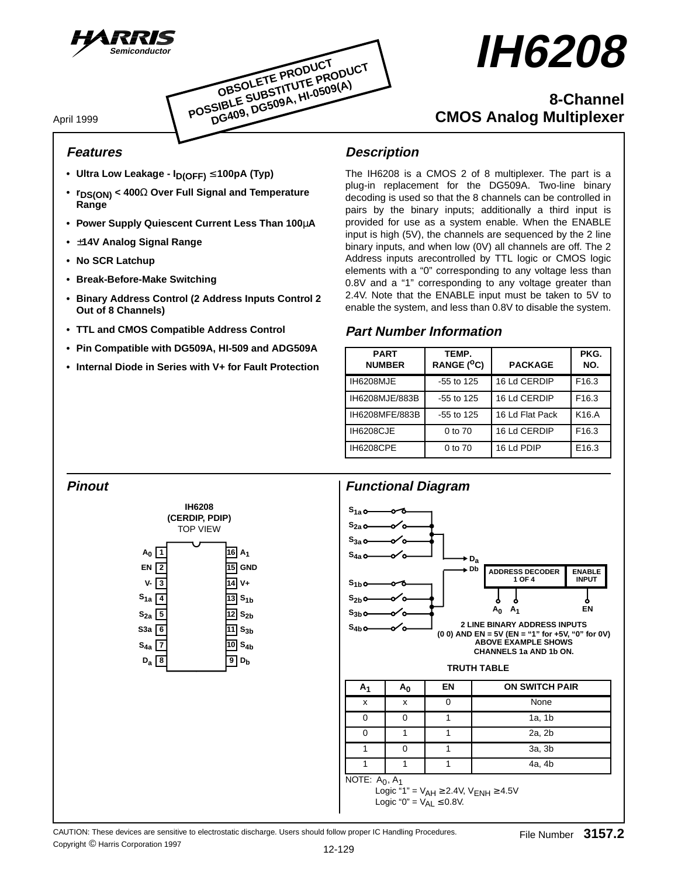



# **IH6208**

# **8-Channel CMOS Analog Multiplexer**

April 1999

# **Features**

- **Ultra Low Leakage ID(OFF)** ≤ **100pA (Typ)**
- **rDS(ON) < 400**Ω **Over Full Signal and Temperature Range**
- **Power Supply Quiescent Current Less Than 100**µ**A**
- **•** ±**14V Analog Signal Range**
- **No SCR Latchup**
- **Break-Before-Make Switching**
- **Binary Address Control (2 Address Inputs Control 2 Out of 8 Channels)**
- **TTL and CMOS Compatible Address Control**
- **Pin Compatible with DG509A, HI-509 and ADG509A**
- **Internal Diode in Series with V+ for Fault Protection**

# **Description**

The IH6208 is a CMOS 2 of 8 multiplexer. The part is a plug-in replacement for the DG509A. Two-line binary decoding is used so that the 8 channels can be controlled in pairs by the binary inputs; additionally a third input is provided for use as a system enable. When the ENABLE input is high (5V), the channels are sequenced by the 2 line binary inputs, and when low (0V) all channels are off. The 2 Address inputs arecontrolled by TTL logic or CMOS logic elements with a "0" corresponding to any voltage less than 0.8V and a "1" corresponding to any voltage greater than 2.4V. Note that the ENABLE input must be taken to 5V to enable the system, and less than 0.8V to disable the system.

# **Part Number Information**

| <b>PART</b><br><b>NUMBER</b> | TEMP.<br>RANGE (°C) | <b>PACKAGE</b>  | PKG.<br>NO.       |
|------------------------------|---------------------|-----------------|-------------------|
| IH6208MJE                    | $-55$ to 125        | 16 Ld CERDIP    | F <sub>16.3</sub> |
| IH6208MJE/883B               | $-55$ to 125        | 16 Ld CERDIP    | F <sub>16.3</sub> |
| IH6208MFE/883B               | $-55$ to 125        | 16 Ld Flat Pack | K16.A             |
| IH6208CJE                    | 0 to 70             | 16 Ld CERDIP    | F <sub>16.3</sub> |
| <b>IH6208CPE</b>             | 0 to 70             | 16 Ld PDIP      | E16.3             |

# **Pinout**





Logic " $0$ " =  $V_{AL} \leq 0.8$ V.

CAUTION: These devices are sensitive to electrostatic discharge. Users should follow proper IC Handling Procedures. Copyright © Harris Corporation 1997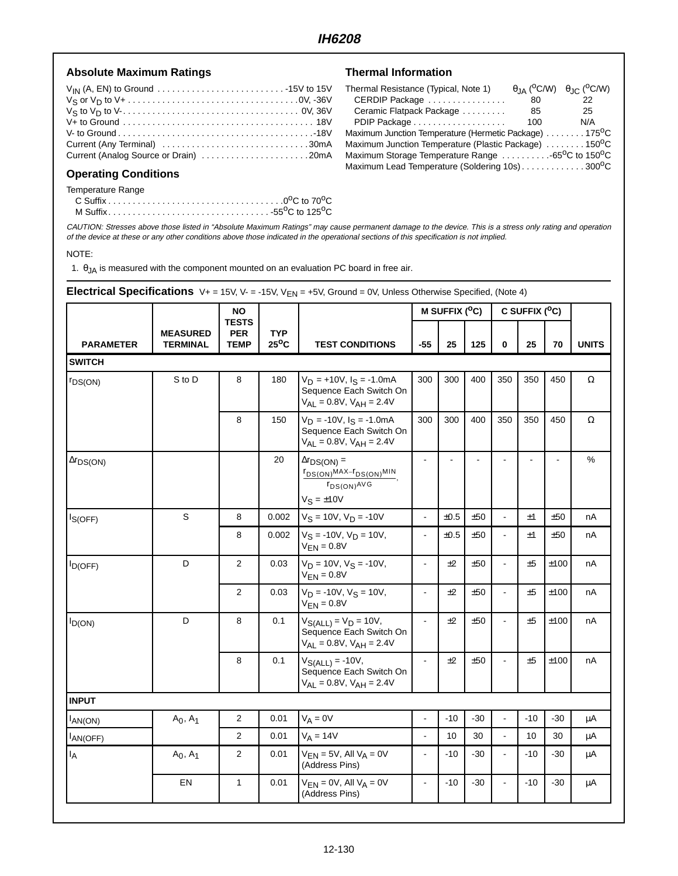#### Absolute Maximum Ratings **National Information**

| Current (Any Terminal) 30mA           |  |
|---------------------------------------|--|
| Current (Analog Source or Drain) 20mA |  |

#### **Operating Conditions**

Temperature Range

|  |  | M Suffix55 <sup>o</sup> C to 125 <sup>o</sup> C |
|--|--|-------------------------------------------------|

| Thermal Resistance (Typical, Note 1)                                       |     | $\theta$ JA ( <sup>O</sup> C/W) $\theta$ JC ( <sup>O</sup> C/W) |  |  |  |  |  |
|----------------------------------------------------------------------------|-----|-----------------------------------------------------------------|--|--|--|--|--|
| CERDIP Package                                                             | 80  | 22                                                              |  |  |  |  |  |
| Ceramic Flatpack Package                                                   | 85  | 25                                                              |  |  |  |  |  |
| PDIP Package                                                               | 100 | N/A                                                             |  |  |  |  |  |
| Maximum Junction Temperature (Hermetic Package) 175 <sup>o</sup> C         |     |                                                                 |  |  |  |  |  |
| Maximum Junction Temperature (Plastic Package) 150 <sup>o</sup> C          |     |                                                                 |  |  |  |  |  |
| Maximum Storage Temperature Range  65 <sup>o</sup> C to 150 <sup>o</sup> C |     |                                                                 |  |  |  |  |  |
| Maximum Lead Temperature (Soldering 10s)300°C                              |     |                                                                 |  |  |  |  |  |

CAUTION: Stresses above those listed in "Absolute Maximum Ratings" may cause permanent damage to the device. This is a stress only rating and operation of the device at these or any other conditions above those indicated in the operational sections of this specification is not implied.

#### NOTE:

1.  $\theta_{JA}$  is measured with the component mounted on an evaluation PC board in free air.

## **Electrical Specifications** V+ = 15V, V- = -15V, V<sub>EN</sub> = +5V, Ground = 0V, Unless Otherwise Specified, (Note 4)

|                       |                                    | <b>NO</b>                                 |                              |                                                                                                    |                | M SUFFIX (°C) |       |                | C SUFFIX (°C) |       |              |
|-----------------------|------------------------------------|-------------------------------------------|------------------------------|----------------------------------------------------------------------------------------------------|----------------|---------------|-------|----------------|---------------|-------|--------------|
| <b>PARAMETER</b>      | <b>MEASURED</b><br><b>TERMINAL</b> | <b>TESTS</b><br><b>PER</b><br><b>TEMP</b> | <b>TYP</b><br>$25^{\circ}$ C | <b>TEST CONDITIONS</b>                                                                             | $-55$          | 25            | 125   | 0              | 25            | 70    | <b>UNITS</b> |
| <b>SWITCH</b>         |                                    |                                           |                              |                                                                                                    |                |               |       |                |               |       |              |
| <b><i>FDS(ON)</i></b> | S to D                             | 8                                         | 180                          | $V_D$ = +10V, $I_S$ = -1.0mA<br>Sequence Each Switch On<br>$V_{AL} = 0.8V$ , $V_{AH} = 2.4V$       | 300            | 300           | 400   | 350            | 350           | 450   | Ω            |
|                       |                                    | 8                                         | 150                          | $V_D = -10V$ , $I_S = -1.0mA$<br>Sequence Each Switch On<br>$V_{AL} = 0.8V$ , $V_{AH} = 2.4V$      | 300            | 300           | 400   | 350            | 350           | 450   | $\Omega$     |
| $\Delta r_{DS(ON)}$   |                                    |                                           | 20                           | $\Delta r_{DS(ON)} =$<br>$r_{DS(ON)}$ MAX- $r_{DS(ON)}$ MIN<br>$r_{DS(ON)}$ AVG<br>$V_S = \pm 10V$ | $\blacksquare$ |               |       |                |               |       | %            |
| $I_{S(OFF)}$          | $\mathsf S$                        | 8                                         | 0.002                        | $V_S = 10V$ , $V_D = -10V$                                                                         | $\mathbf{r}$   | ±0.5          | ±50   |                | ±1            | ±50   | nA           |
|                       |                                    | 8                                         | 0.002                        | $V_S = -10V$ , $V_D = 10V$ ,<br>$V_{EN} = 0.8V$                                                    | $\blacksquare$ | $\pm 0.5$     | ±50   | $\blacksquare$ | ±1            | ±50   | nA           |
| $I_{D(OFF)}$          | D                                  | 2                                         | 0.03                         | $V_D = 10V$ , $V_S = -10V$ ,<br>$V_{FN} = 0.8V$                                                    | $\blacksquare$ | ±2            | ±50   | $\mathbf{u}$   | ±5            | ±100  | nA           |
|                       |                                    | $\overline{2}$                            | 0.03                         | $V_D = -10V$ , $V_S = 10V$ ,<br>$V_{FN} = 0.8V$                                                    | $\sim$         | ±2            | ±50   | $\overline{a}$ | ±5            | ±100  | nA           |
| $I_{D(ON)}$           | D                                  | 8                                         | 0.1                          | $V_{S(ALL)} = V_D = 10V,$<br>Sequence Each Switch On<br>$V_{AL} = 0.8V$ , $V_{AH} = 2.4V$          | $\sim$         | ±2            | ±50   | $\blacksquare$ | ±5            | ±100  | nA           |
|                       |                                    | 8                                         | 0.1                          | $V_{S(ALL)} = -10V,$<br>Sequence Each Switch On<br>$V_{AL} = 0.8V$ , $V_{AH} = 2.4V$               |                | ±2            | ±50   |                | ±5            | ±100  | nA           |
| <b>INPUT</b>          |                                    |                                           |                              |                                                                                                    |                |               |       |                |               |       |              |
| $I_{AN(ON)}$          | $A_0, A_1$                         | $\overline{2}$                            | 0.01                         | $V_A = 0V$                                                                                         | ÷,             | $-10$         | $-30$ | $\omega$       | $-10$         | $-30$ | μA           |
| AN(OFF)               |                                    | $\overline{2}$                            | 0.01                         | $V_A = 14V$                                                                                        | $\blacksquare$ | 10            | 30    | $\mathbf{r}$   | 10            | 30    | μA           |
| <sup>I</sup> A        | $A_0, A_1$                         | 2                                         | 0.01                         | $V_{EN} = 5V$ , All $V_A = 0V$<br>(Address Pins)                                                   | $\blacksquare$ | $-10$         | $-30$ | $\mathbf{r}$   | $-10$         | $-30$ | μA           |
|                       | EN                                 | $\mathbf{1}$                              | 0.01                         | $V_{EN} = 0V$ , All $V_A = 0V$<br>(Address Pins)                                                   | $\blacksquare$ | $-10$         | $-30$ | $\blacksquare$ | $-10$         | $-30$ | μA           |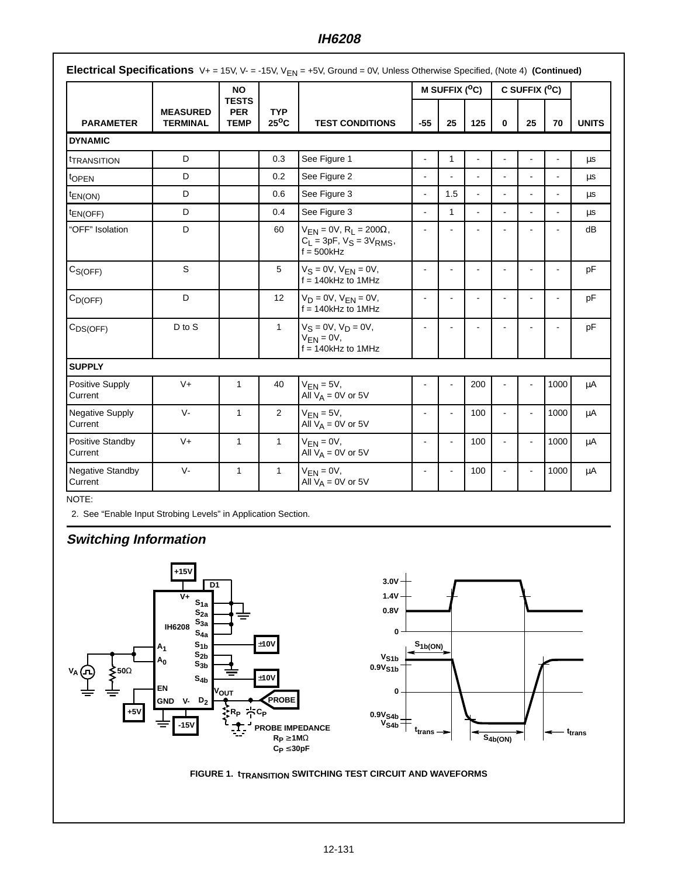## **IH6208**

|                                   |                                    | <b>NO</b>                                 |                              |                                                                                          | M SUFFIX (°C)  |                |                | C SUFFIX ( <sup>O</sup> C) |                |      |              |
|-----------------------------------|------------------------------------|-------------------------------------------|------------------------------|------------------------------------------------------------------------------------------|----------------|----------------|----------------|----------------------------|----------------|------|--------------|
| <b>PARAMETER</b>                  | <b>MEASURED</b><br><b>TERMINAL</b> | <b>TESTS</b><br><b>PER</b><br><b>TEMP</b> | <b>TYP</b><br>$25^{\circ}$ C | <b>TEST CONDITIONS</b>                                                                   | $-55$          | 25             | 125            | $\bf{0}$                   | 25             | 70   | <b>UNITS</b> |
| <b>DYNAMIC</b>                    |                                    |                                           |                              |                                                                                          |                |                |                |                            |                |      |              |
| <sup>t</sup> TRANSITION           | D                                  |                                           | 0.3                          | See Figure 1                                                                             | ٠              | $\mathbf{1}$   | $\blacksquare$ |                            | ۳              |      | μs           |
| t <sub>OPEN</sub>                 | D                                  |                                           | 0.2                          | See Figure 2                                                                             |                |                | $\blacksquare$ |                            |                |      | μs           |
| <sup>t</sup> EN(ON)               | D                                  |                                           | 0.6                          | See Figure 3                                                                             | $\mathbf{r}$   | 1.5            | $\sim$         | ä,                         |                |      | μs           |
| <sup>t</sup> EN(OFF)              | D                                  |                                           | 0.4                          | See Figure 3                                                                             | $\overline{a}$ | $\mathbf{1}$   | $\overline{a}$ | ÷.                         |                |      | μs           |
| "OFF" Isolation                   | D                                  |                                           | 60                           | $V_{EN} = 0V$ , $R_L = 200\Omega$ ,<br>$C_L = 3pF$ , $V_S = 3V_{RMS}$ ,<br>$f = 500$ kHz | ÷.             |                |                |                            |                |      | dB           |
| C <sub>S(OFF)</sub>               | $\mathbb S$                        |                                           | 5                            | $V_S = 0V$ , $V_{EN} = 0V$ ,<br>$f = 140$ kHz to 1MHz                                    | $\blacksquare$ | $\blacksquare$ | $\blacksquare$ | $\blacksquare$             | $\blacksquare$ |      | pF           |
| $C_{D(OFF)}$                      | D                                  |                                           | 12 <sup>2</sup>              | $V_D = 0V$ , $V_{FN} = 0V$ ,<br>$f = 140kHz$ to 1MHz                                     | $\blacksquare$ | ÷,             | $\blacksquare$ | $\blacksquare$             | $\blacksquare$ |      | pF           |
| $C_{DS(OFF)}$                     | D to S                             |                                           | $\mathbf{1}$                 | $V_S = 0V, V_D = 0V,$<br>$V_{FN} = 0V$ ,<br>$f = 140$ kHz to 1MHz                        | ٠              |                |                |                            |                |      | pF           |
| <b>SUPPLY</b>                     |                                    |                                           |                              |                                                                                          |                |                |                |                            |                |      |              |
| Positive Supply<br>Current        | $V +$                              | $\mathbf{1}$                              | 40                           | $V_{FN} = 5V$ ,<br>All $V_A = 0V$ or 5V                                                  |                |                | 200            |                            |                | 1000 | μA           |
| <b>Negative Supply</b><br>Current | $V -$                              | $\mathbf{1}$                              | $\overline{2}$               | $V_{EN} = 5V$ ,<br>All $V_A = 0V$ or 5V                                                  | ٠              | ä,             | 100            | $\blacksquare$             | $\blacksquare$ | 1000 | $\mu$ A      |
| Positive Standby<br>Current       | $V +$                              | $\mathbf{1}$                              | $\mathbf{1}$                 | $V_{EN} = 0V$ ,<br>All $V_A = 0V$ or 5V                                                  | ä,             | ä,             | 100            | $\blacksquare$             | $\blacksquare$ | 1000 | μA           |
| Negative Standby<br>Current       | $V -$                              | $\mathbf{1}$                              | $\mathbf{1}$                 | $V_{EN} = 0V$ ,<br>All $V_A = 0V$ or 5V                                                  |                |                | 100            |                            |                | 1000 | μA           |

NOTE:

2. See "Enable Input Strobing Levels" in Application Section.

# **Switching Information**

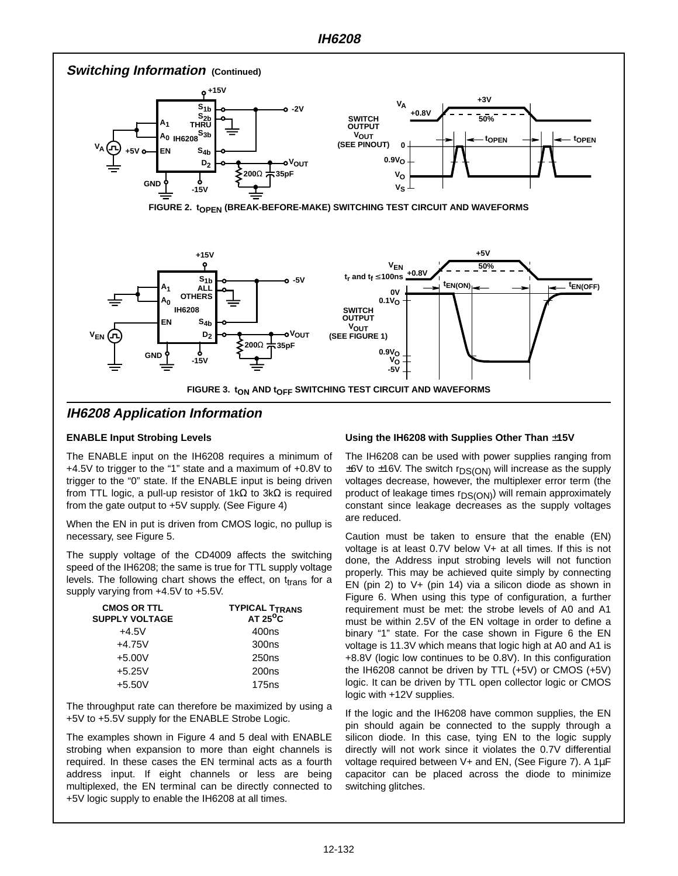

#### **ENABLE Input Strobing Levels**

The ENABLE input on the IH6208 requires a minimum of +4.5V to trigger to the "1" state and a maximum of +0.8V to trigger to the "0" state. If the ENABLE input is being driven from TTL logic, a pull-up resistor of 1kΩ to 3kΩ is required from the gate output to +5V supply. (See Figure 4)

When the EN in put is driven from CMOS logic, no pullup is necessary, see Figure 5.

The supply voltage of the CD4009 affects the switching speed of the IH6208; the same is true for TTL supply voltage levels. The following chart shows the effect, on  $t_{trans}$  for a supply varying from +4.5V to +5.5V.

| <b>CMOS OR TTL</b><br><b>SUPPLY VOLTAGE</b> | <b>TYPICAL T<sub>TRANS</sub></b><br>$AT 25^{\circ}C$ |
|---------------------------------------------|------------------------------------------------------|
| $+4.5V$                                     | 400ns                                                |
| $+4.75V$                                    | 300 <sub>ns</sub>                                    |
| $+5.00V$                                    | 250 <sub>ns</sub>                                    |
| $+5.25V$                                    | 200 <sub>ns</sub>                                    |
| $+5.50V$                                    | 175 <sub>ns</sub>                                    |

The throughput rate can therefore be maximized by using a +5V to +5.5V supply for the ENABLE Strobe Logic.

The examples shown in Figure 4 and 5 deal with ENABLE strobing when expansion to more than eight channels is required. In these cases the EN terminal acts as a fourth address input. If eight channels or less are being multiplexed, the EN terminal can be directly connected to +5V logic supply to enable the IH6208 at all times.

#### **Using the IH6208 with Supplies Other Than** ±**15V**

The IH6208 can be used with power supplies ranging from  $\pm 6V$  to  $\pm 16V$ . The switch r<sub>DS(ON)</sub> will increase as the supply voltages decrease, however, the multiplexer error term (the product of leakage times  $r_{DS(ON)}$ ) will remain approximately constant since leakage decreases as the supply voltages are reduced.

Caution must be taken to ensure that the enable (EN) voltage is at least 0.7V below V+ at all times. If this is not done, the Address input strobing levels will not function properly. This may be achieved quite simply by connecting EN (pin 2) to V+ (pin 14) via a silicon diode as shown in Figure 6. When using this type of configuration, a further requirement must be met: the strobe levels of A0 and A1 must be within 2.5V of the EN voltage in order to define a binary "1" state. For the case shown in Figure 6 the EN voltage is 11.3V which means that logic high at A0 and A1 is +8.8V (logic low continues to be 0.8V). In this configuration the IH6208 cannot be driven by TTL (+5V) or CMOS (+5V) logic. It can be driven by TTL open collector logic or CMOS logic with +12V supplies.

If the logic and the IH6208 have common supplies, the EN pin should again be connected to the supply through a silicon diode. In this case, tying EN to the logic supply directly will not work since it violates the 0.7V differential voltage required between V+ and EN, (See Figure 7). A 1µF capacitor can be placed across the diode to minimize switching glitches.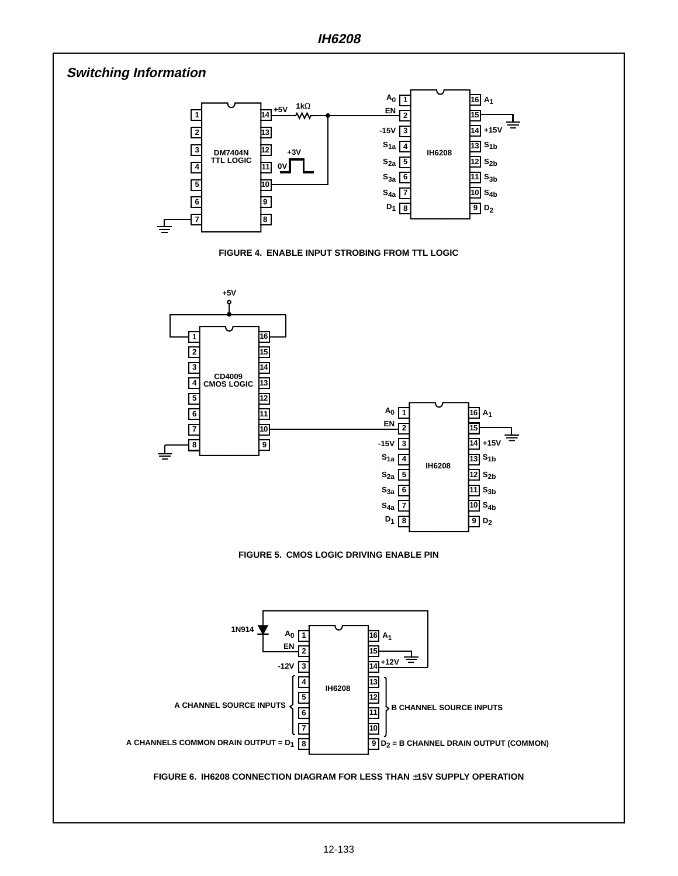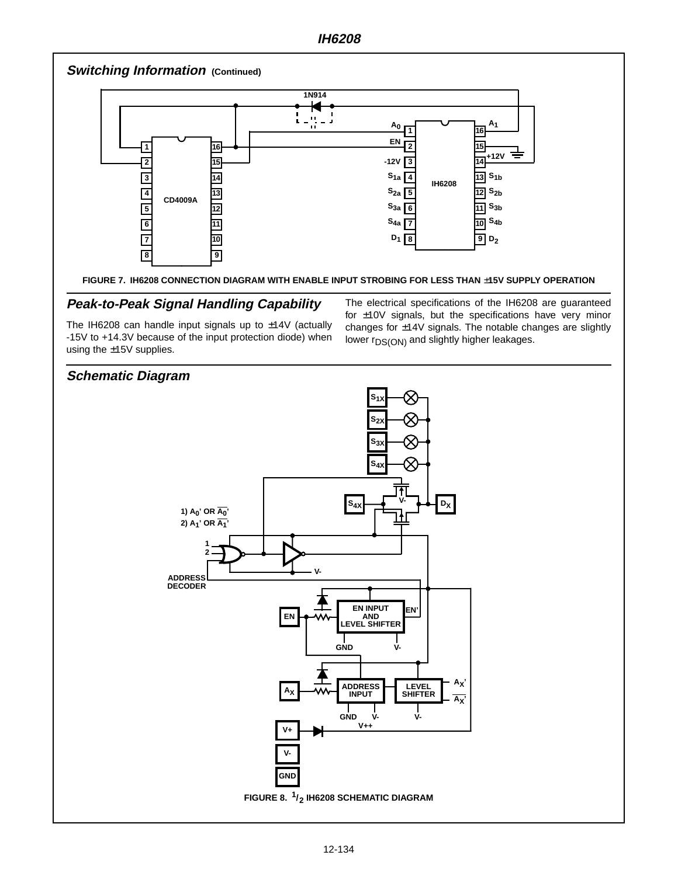

#### **FIGURE 7. IH6208 CONNECTION DIAGRAM WITH ENABLE INPUT STROBING FOR LESS THAN** ±**15V SUPPLY OPERATION**

## **Peak-to-Peak Signal Handling Capability**

The IH6208 can handle input signals up to ±14V (actually -15V to +14.3V because of the input protection diode) when using the ±15V supplies.

The electrical specifications of the IH6208 are guaranteed for ±10V signals, but the specifications have very minor changes for ±14V signals. The notable changes are slightly lower r<sub>DS(ON)</sub> and slightly higher leakages.